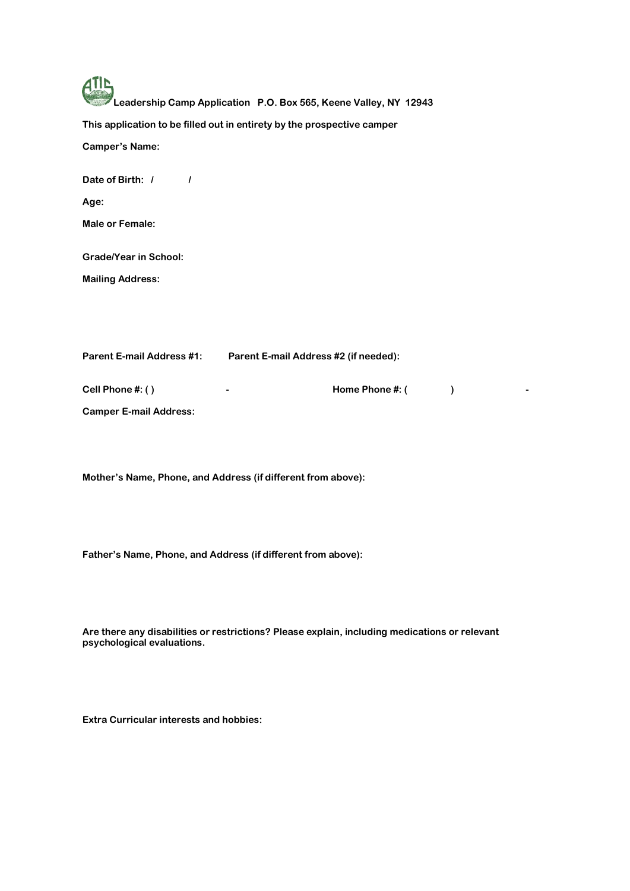| Leadership Camp Application P.O. Box 565, Keene Valley, NY 12943          |
|---------------------------------------------------------------------------|
| This application to be filled out in entirety by the prospective camper   |
| <b>Camper's Name:</b>                                                     |
| Date of Birth: /<br>I                                                     |
| Age:                                                                      |
| Male or Female:                                                           |
| <b>Grade/Year in School:</b>                                              |
| <b>Mailing Address:</b>                                                   |
| <b>Parent E-mail Address #1:</b><br>Parent E-mail Address #2 (if needed): |

**Cell Phone #: ( ) - Home Phone #: ( ) - Camper E-mail Address:** 

**Mother's Name, Phone, and Address (if different from above):**

**Father's Name, Phone, and Address (if different from above):**

**Are there any disabilities or restrictions? Please explain, including medications or relevant psychological evaluations.** 

**Extra Curricular interests and hobbies:**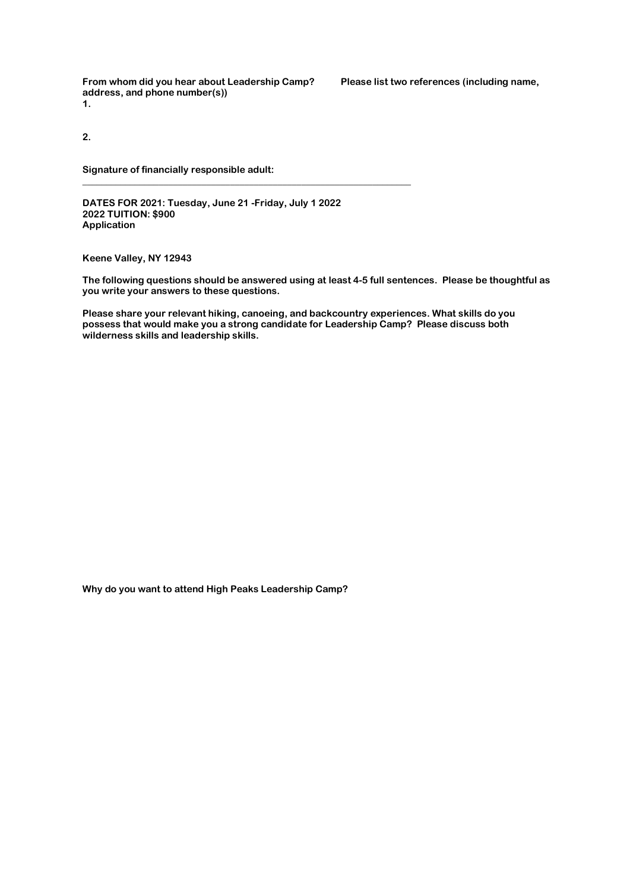**From whom did you hear about Leadership Camp? Please list two references (including name, address, and phone number(s)) 1.** 

**2.** 

**Signature of financially responsible adult:** 

**DATES FOR 2021: Tuesday, June 21 -Friday, July 1 2022 2022 TUITION: \$900 Application**

**\_\_\_\_\_\_\_\_\_\_\_\_\_\_\_\_\_\_\_\_\_\_\_\_\_\_\_\_\_\_\_\_\_\_\_\_\_\_\_\_\_\_\_\_\_\_\_\_\_\_\_\_\_\_\_\_\_\_\_\_\_\_\_\_\_\_\_\_\_** 

**Keene Valley, NY 12943**

**The following questions should be answered using at least 4-5 full sentences. Please be thoughtful as you write your answers to these questions.**

**Please share your relevant hiking, canoeing, and backcountry experiences. What skills do you possess that would make you a strong candidate for Leadership Camp? Please discuss both wilderness skills and leadership skills.**

**Why do you want to attend High Peaks Leadership Camp?**